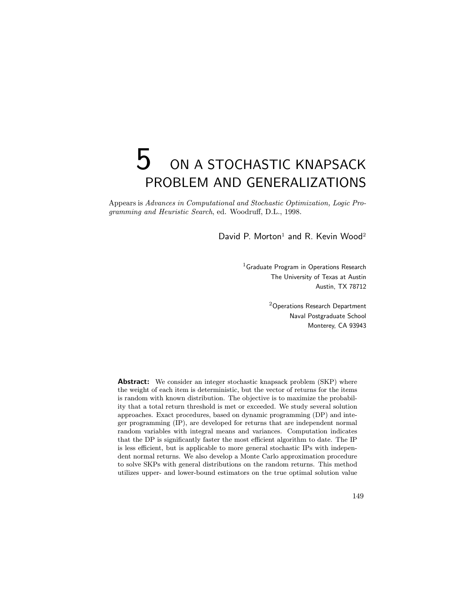# $5$  on a stochastic knapsack PROBLEM AND GENERALIZATIONS

Appears is Advances in Computational and Stochastic Optimization, Logic Programming and Heuristic Search, ed. Woodruff, D.L., 1998.

David P. Morton<sup>1</sup> and R. Kevin Wood<sup>2</sup>

<sup>1</sup> Graduate Program in Operations Research The University of Texas at Austin Austin, TX 78712

> <sup>2</sup>Operations Research Department Naval Postgraduate School Monterey, CA 93943

Abstract: We consider an integer stochastic knapsack problem (SKP) where the weight of each item is deterministic, but the vector of returns for the items is random with known distribution. The objective is to maximize the probability that a total return threshold is met or exceeded. We study several solution approaches. Exact procedures, based on dynamic programming (DP) and integer programming (IP), are developed for returns that are independent normal random variables with integral means and variances. Computation indicates that the DP is significantly faster the most efficient algorithm to date. The IP is less efficient, but is applicable to more general stochastic IPs with independent normal returns. We also develop a Monte Carlo approximation procedure to solve SKPs with general distributions on the random returns. This method utilizes upper- and lower-bound estimators on the true optimal solution value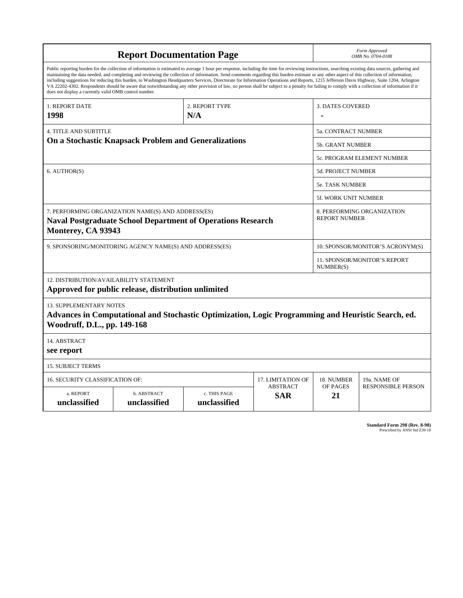|                                                                                                                                                                                                      |                                                                                                                                                                                                                                                                                                                                                                                                                                                                                                                                                                                                                                                                                                                                                                                                          | Form Approved<br>OMB No. 0704-0188        |                                      |                                  |              |  |  |  |
|------------------------------------------------------------------------------------------------------------------------------------------------------------------------------------------------------|----------------------------------------------------------------------------------------------------------------------------------------------------------------------------------------------------------------------------------------------------------------------------------------------------------------------------------------------------------------------------------------------------------------------------------------------------------------------------------------------------------------------------------------------------------------------------------------------------------------------------------------------------------------------------------------------------------------------------------------------------------------------------------------------------------|-------------------------------------------|--------------------------------------|----------------------------------|--------------|--|--|--|
| does not display a currently valid OMB control number.                                                                                                                                               | Public reporting burden for the collection of information is estimated to average 1 hour per response, including the time for reviewing instructions, searching existing data sources, gathering and<br>maintaining the data needed, and completing and reviewing the collection of information. Send comments regarding this burden estimate or any other aspect of this collection of information,<br>including suggestions for reducing this burden, to Washington Headquarters Services, Directorate for Information Operations and Reports, 1215 Jefferson Davis Highway, Suite 1204, Arlington<br>VA 22202-4302. Respondents should be aware that notwithstanding any other provision of law, no person shall be subject to a penalty for failing to comply with a collection of information if it |                                           |                                      |                                  |              |  |  |  |
| 1. REPORT DATE                                                                                                                                                                                       |                                                                                                                                                                                                                                                                                                                                                                                                                                                                                                                                                                                                                                                                                                                                                                                                          |                                           | <b>3. DATES COVERED</b>              |                                  |              |  |  |  |
| 1998                                                                                                                                                                                                 |                                                                                                                                                                                                                                                                                                                                                                                                                                                                                                                                                                                                                                                                                                                                                                                                          |                                           |                                      |                                  |              |  |  |  |
| <b>4. TITLE AND SUBTITLE</b>                                                                                                                                                                         |                                                                                                                                                                                                                                                                                                                                                                                                                                                                                                                                                                                                                                                                                                                                                                                                          | 5a. CONTRACT NUMBER                       |                                      |                                  |              |  |  |  |
| <b>On a Stochastic Knapsack Problem and Generalizations</b>                                                                                                                                          | 5b. GRANT NUMBER                                                                                                                                                                                                                                                                                                                                                                                                                                                                                                                                                                                                                                                                                                                                                                                         |                                           |                                      |                                  |              |  |  |  |
|                                                                                                                                                                                                      |                                                                                                                                                                                                                                                                                                                                                                                                                                                                                                                                                                                                                                                                                                                                                                                                          |                                           | 5c. PROGRAM ELEMENT NUMBER           |                                  |              |  |  |  |
| 6. AUTHOR(S)                                                                                                                                                                                         |                                                                                                                                                                                                                                                                                                                                                                                                                                                                                                                                                                                                                                                                                                                                                                                                          | 5d. PROJECT NUMBER                        |                                      |                                  |              |  |  |  |
|                                                                                                                                                                                                      | <b>5e. TASK NUMBER</b>                                                                                                                                                                                                                                                                                                                                                                                                                                                                                                                                                                                                                                                                                                                                                                                   |                                           |                                      |                                  |              |  |  |  |
|                                                                                                                                                                                                      |                                                                                                                                                                                                                                                                                                                                                                                                                                                                                                                                                                                                                                                                                                                                                                                                          | <b>5f. WORK UNIT NUMBER</b>               |                                      |                                  |              |  |  |  |
| 7. PERFORMING ORGANIZATION NAME(S) AND ADDRESS(ES)<br>8. PERFORMING ORGANIZATION<br><b>REPORT NUMBER</b><br><b>Naval Postgraduate School Department of Operations Research</b><br>Monterey, CA 93943 |                                                                                                                                                                                                                                                                                                                                                                                                                                                                                                                                                                                                                                                                                                                                                                                                          |                                           |                                      |                                  |              |  |  |  |
|                                                                                                                                                                                                      | 9. SPONSORING/MONITORING AGENCY NAME(S) AND ADDRESS(ES)                                                                                                                                                                                                                                                                                                                                                                                                                                                                                                                                                                                                                                                                                                                                                  |                                           |                                      | 10. SPONSOR/MONITOR'S ACRONYM(S) |              |  |  |  |
|                                                                                                                                                                                                      |                                                                                                                                                                                                                                                                                                                                                                                                                                                                                                                                                                                                                                                                                                                                                                                                          | 11. SPONSOR/MONITOR'S REPORT<br>NUMBER(S) |                                      |                                  |              |  |  |  |
| <b>12. DISTRIBUTION/AVAILABILITY STATEMENT</b><br>Approved for public release, distribution unlimited                                                                                                |                                                                                                                                                                                                                                                                                                                                                                                                                                                                                                                                                                                                                                                                                                                                                                                                          |                                           |                                      |                                  |              |  |  |  |
| <b>13. SUPPLEMENTARY NOTES</b><br>Advances in Computational and Stochastic Optimization, Logic Programming and Heuristic Search, ed.<br>Woodruff, D.L., pp. 149-168                                  |                                                                                                                                                                                                                                                                                                                                                                                                                                                                                                                                                                                                                                                                                                                                                                                                          |                                           |                                      |                                  |              |  |  |  |
| 14. ABSTRACT<br>see report                                                                                                                                                                           |                                                                                                                                                                                                                                                                                                                                                                                                                                                                                                                                                                                                                                                                                                                                                                                                          |                                           |                                      |                                  |              |  |  |  |
| <b>15. SUBJECT TERMS</b>                                                                                                                                                                             |                                                                                                                                                                                                                                                                                                                                                                                                                                                                                                                                                                                                                                                                                                                                                                                                          |                                           |                                      |                                  |              |  |  |  |
| <b>16. SECURITY CLASSIFICATION OF:</b>                                                                                                                                                               |                                                                                                                                                                                                                                                                                                                                                                                                                                                                                                                                                                                                                                                                                                                                                                                                          |                                           | 17. LIMITATION OF<br><b>ABSTRACT</b> | 18. NUMBER                       | 19a. NAME OF |  |  |  |
| a. REPORT<br>unclassified                                                                                                                                                                            | b. ABSTRACT<br>unclassified                                                                                                                                                                                                                                                                                                                                                                                                                                                                                                                                                                                                                                                                                                                                                                              | OF PAGES<br>21                            | <b>RESPONSIBLE PERSON</b>            |                                  |              |  |  |  |

**Standard Form 298 (Rev. 8-98)**<br>Prescribed by ANSI Std Z39-18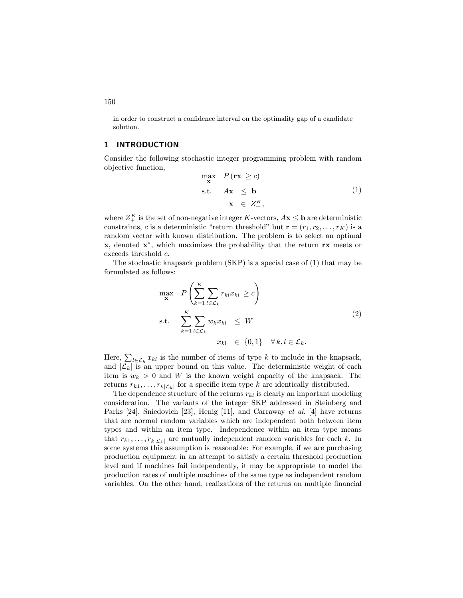in order to construct a confidence interval on the optimality gap of a candidate solution.

## 1 INTRODUCTION

Consider the following stochastic integer programming problem with random objective function,

$$
\max_{\mathbf{x}} P(\mathbf{rx} \ge c)
$$
  
s.t.  $A\mathbf{x} \le \mathbf{b}$   
 $\mathbf{x} \in Z_+^K,$  (1)

where  $Z_{+}^{K}$  is the set of non-negative integer K-vectors,  $A\mathbf{x} \leq \mathbf{b}$  are deterministic constraints, c is a deterministic "return threshold" but  $\mathbf{r} = (r_1, r_2, \dots, r_K)$  is a random vector with known distribution. The problem is to select an optimal x, denoted x∗, which maximizes the probability that the return rx meets or exceeds threshold c.

The stochastic knapsack problem (SKP) is a special case of (1) that may be formulated as follows:

$$
\max_{\mathbf{x}} \quad P\left(\sum_{k=1}^{K} \sum_{l \in \mathcal{L}_k} r_{kl} x_{kl} \ge c\right)
$$
\n
$$
\text{s.t.} \quad \sum_{k=1}^{K} \sum_{l \in \mathcal{L}_k} w_k x_{kl} \le W
$$
\n
$$
x_{kl} \in \{0, 1\} \quad \forall k, l \in \mathcal{L}_k. \tag{2}
$$

Here,  $\sum_{l \in \mathcal{L}_k} x_{kl}$  is the number of items of type k to include in the knapsack, and  $|\mathcal{L}_k|$  is an upper bound on this value. The deterministic weight of each item is  $w_k > 0$  and W is the known weight capacity of the knapsack. The returns  $r_{k1},\ldots,r_{k|\mathcal{L}_k|}$  for a specific item type k are identically distributed.

The dependence structure of the returns  $r_{kl}$  is clearly an important modeling consideration. The variants of the integer SKP addressed in Steinberg and Parks [24], Sniedovich [23], Henig [11], and Carraway et al. [4] have returns that are normal random variables which are independent both between item types and within an item type. Independence within an item type means that  $r_{k1},\ldots,r_{k|\mathcal{L}_k|}$  are mutually independent random variables for each k. In some systems this assumption is reasonable: For example, if we are purchasing production equipment in an attempt to satisfy a certain threshold production level and if machines fail independently, it may be appropriate to model the production rates of multiple machines of the same type as independent random variables. On the other hand, realizations of the returns on multiple financial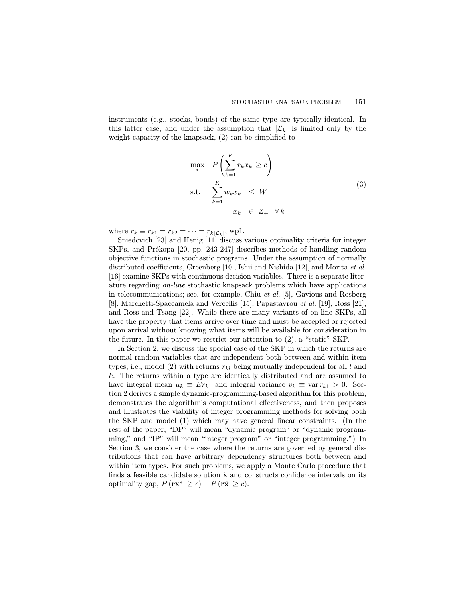instruments (e.g., stocks, bonds) of the same type are typically identical. In this latter case, and under the assumption that  $|\mathcal{L}_k|$  is limited only by the weight capacity of the knapsack, (2) can be simplified to

$$
\max_{\mathbf{x}} \quad P\left(\sum_{k=1}^{K} r_k x_k \ge c\right)
$$
\n
$$
\text{s.t.} \quad \sum_{k=1}^{K} w_k x_k \le W
$$
\n
$$
x_k \in Z_+ \quad \forall k
$$
\n
$$
(3)
$$

where  $r_k \equiv r_{k1} = r_{k2} = \cdots = r_{k|\mathcal{L}_k|}$ , wp1.

Sniedovich [23] and Henig [11] discuss various optimality criteria for integer SKPs, and Prékopa [20, pp. 243-247] describes methods of handling random objective functions in stochastic programs. Under the assumption of normally distributed coefficients, Greenberg [10], Ishii and Nishida [12], and Morita et al. [16] examine SKPs with continuous decision variables. There is a separate literature regarding on-line stochastic knapsack problems which have applications in telecommunications; see, for example, Chiu et al. [5], Gavious and Rosberg [8], Marchetti-Spaccamela and Vercellis [15], Papastavrou et al. [19], Ross [21], and Ross and Tsang [22]. While there are many variants of on-line SKPs, all have the property that items arrive over time and must be accepted or rejected upon arrival without knowing what items will be available for consideration in the future. In this paper we restrict our attention to (2), a "static" SKP.

In Section 2, we discuss the special case of the SKP in which the returns are normal random variables that are independent both between and within item types, i.e., model (2) with returns  $r_{kl}$  being mutually independent for all l and k. The returns within a type are identically distributed and are assumed to have integral mean  $\mu_k \equiv E r_{k1}$  and integral variance  $v_k \equiv \text{var } r_{k1} > 0$ . Section 2 derives a simple dynamic-programming-based algorithm for this problem, demonstrates the algorithm's computational effectiveness, and then proposes and illustrates the viability of integer programming methods for solving both the SKP and model (1) which may have general linear constraints. (In the rest of the paper, "DP" will mean "dynamic program" or "dynamic programming," and "IP" will mean "integer program" or "integer programming.") In Section 3, we consider the case where the returns are governed by general distributions that can have arbitrary dependency structures both between and within item types. For such problems, we apply a Monte Carlo procedure that finds a feasible candidate solution  $\hat{\mathbf{x}}$  and constructs confidence intervals on its optimality gap,  $P(\mathbf{rx}^* \ge c) - P(\mathbf{r}\hat{\mathbf{x}} \ge c)$ .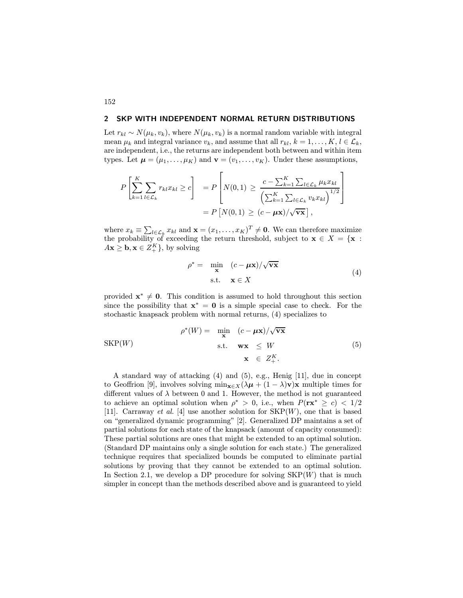## 2 SKP WITH INDEPENDENT NORMAL RETURN DISTRIBUTIONS

Let  $r_{kl} \sim N(\mu_k, v_k)$ , where  $N(\mu_k, v_k)$  is a normal random variable with integral mean  $\mu_k$  and integral variance  $v_k$ , and assume that all  $r_{kl}$ ,  $k = 1, \ldots, K$ ,  $l \in \mathcal{L}_k$ , are independent, i.e., the returns are independent both between and within item types. Let  $\mu = (\mu_1, \dots, \mu_K)$  and  $\mathbf{v} = (v_1, \dots, v_K)$ . Under these assumptions,

$$
P\left[\sum_{k=1}^{K} \sum_{l \in \mathcal{L}_k} r_{kl} x_{kl} \ge c\right] = P\left[N(0,1) \ge \frac{c - \sum_{k=1}^{K} \sum_{l \in \mathcal{L}_k} \mu_k x_{kl}}{\left(\sum_{k=1}^{K} \sum_{l \in \mathcal{L}_k} v_k x_{kl}\right)^{1/2}}\right]
$$

$$
= P\left[N(0,1) \ge (c - \mu \mathbf{x})/\sqrt{\mathbf{vx}}\right],
$$

where  $x_k \equiv \sum_{l \in \mathcal{L}_k} x_{kl}$  and  $\mathbf{x} = (x_1, \dots, x_K)^T \neq \mathbf{0}$ . We can therefore maximize the probability of exceeding the return threshold, subject to  $\mathbf{x} \in X = \{ \mathbf{x} :$  $A\mathbf{x} \geq \mathbf{b}, \mathbf{x} \in Z_+^K$ , by solving

$$
\rho^* = \min_{\mathbf{x}} (c - \mu \mathbf{x}) / \sqrt{\mathbf{v} \mathbf{x}}
$$
  
s.t.  $\mathbf{x} \in X$  (4)

provided  $x^* \neq 0$ . This condition is assumed to hold throughout this section since the possibility that  $x^* = 0$  is a simple special case to check. For the stochastic knapsack problem with normal returns, (4) specializes to

$$
\rho^*(W) = \min_{\mathbf{x}} (c - \mu \mathbf{x}) / \sqrt{\mathbf{v} \mathbf{x}}
$$
  
 
$$
\text{s.t.} \quad \mathbf{w} \mathbf{x} \leq W
$$
  
 
$$
\mathbf{x} \in Z_+^K.
$$
 (5)

A standard way of attacking (4) and (5), e.g., Henig [11], due in concept to Geoffrion [9], involves solving  $\min_{\mathbf{x} \in X} (\lambda \mu + (1 - \lambda)\mathbf{v})\mathbf{x}$  multiple times for different values of  $\lambda$  between 0 and 1. However, the method is not guaranteed to achieve an optimal solution when  $\rho^* > 0$ , i.e., when  $P(\mathbf{rx}^* \ge c) < 1/2$ [11]. Carraway *et al.* [4] use another solution for  $SKP(W)$ , one that is based on "generalized dynamic programming" [2]. Generalized DP maintains a set of partial solutions for each state of the knapsack (amount of capacity consumed): These partial solutions are ones that might be extended to an optimal solution. (Standard DP maintains only a single solution for each state.) The generalized technique requires that specialized bounds be computed to eliminate partial solutions by proving that they cannot be extended to an optimal solution. In Section 2.1, we develop a DP procedure for solving  $SKP(W)$  that is much simpler in concept than the methods described above and is guaranteed to yield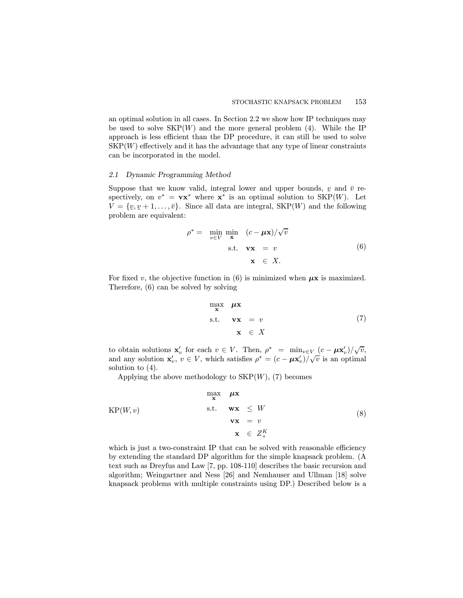an optimal solution in all cases. In Section 2.2 we show how IP techniques may be used to solve  $SKP(W)$  and the more general problem (4). While the IP approach is less efficient than the DP procedure, it can still be used to solve  $SKP(W)$  effectively and it has the advantage that any type of linear constraints can be incorporated in the model.

#### 2.1 Dynamic Programming Method

Suppose that we know valid, integral lower and upper bounds, y and  $\bar{v}$  re-<br>spectively on  $v^* = \mathbf{w}^*$  where  $\mathbf{x}^*$  is an optimal solution to  $SKD(W)$ . Let spectively, on  $v^* = \mathbf{vx}^*$  where  $\mathbf{x}^*$  is an optimal solution to SKP(W). Let  $V = \{v, v+1, \ldots, \bar{v}\}.$  Since all data are integral, SKP(W) and the following  $\sum_{i=1}^{n}$  problem are equivalent:

$$
\rho^* = \min_{v \in V} \min_{\mathbf{x}} (c - \mu \mathbf{x}) / \sqrt{v}
$$
  
s.t.  $\mathbf{v} \mathbf{x} = v$   
 $\mathbf{x} \in X.$  (6)

For fixed v, the objective function in (6) is minimized when  $\mu$ x is maximized. Therefore, (6) can be solved by solving

$$
\begin{array}{rcl}\n\max_{\mathbf{x}} & \mu \mathbf{x} \\
\text{s.t.} & \mathbf{v} \mathbf{x} & = v \\
& \mathbf{x} & \in X\n\end{array} \tag{7}
$$

to obtain solutions  $\mathbf{x}'_v$  for each  $v \in V$ . Then,  $\rho^* = \min_{v \in V} \frac{(c - \mu \mathbf{x}'_v)}{\sqrt{v}}$ , and any solution  $\mathbf{x}'_v, v \in V$ , which satisfies  $\rho^* = (c - \mu \mathbf{x}'_v) / \sqrt{v}$  is an optimal solution to (4).

Applying the above methodology to  $SKP(W)$ , (7) becomes

$$
\begin{array}{rcl}\n\max_{\mathbf{x}} & \mu \mathbf{x} \\
\text{KP}(W, v) & \text{s.t.} & \mathbf{w} \mathbf{x} \leq W \\
& \mathbf{v} \mathbf{x} = v \\
& \mathbf{x} \in Z_+^K\n\end{array} \tag{8}
$$

which is just a two-constraint IP that can be solved with reasonable efficiency by extending the standard DP algorithm for the simple knapsack problem. (A text such as Dreyfus and Law [7, pp. 108-110] describes the basic recursion and algorithm; Weingartner and Ness [26] and Nemhauser and Ullman [18] solve knapsack problems with multiple constraints using DP.) Described below is a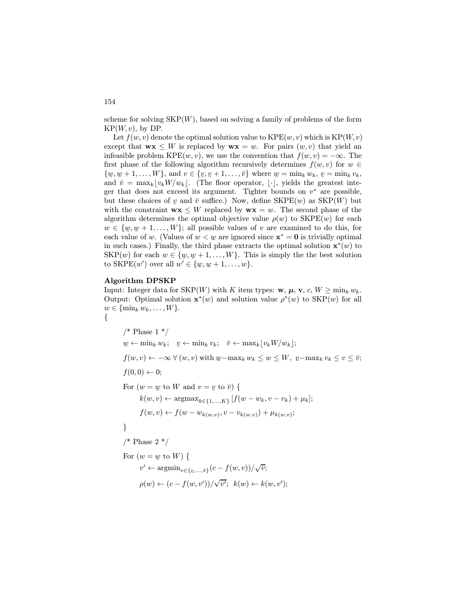scheme for solving  $SKP(W)$ , based on solving a family of problems of the form  $KP(W, v)$ , by DP.

Let  $f(w, v)$  denote the optimal solution value to  $\text{KPE}(w, v)$  which is  $\text{KP}(W, v)$ except that  $w \times W$  is replaced by  $w \times w = w$ . For pairs  $(w, v)$  that yield an infeasible problem KPE $(w, v)$ , we use the convention that  $f(w, v) = -\infty$ . The first phase of the following algorithm recursively determines  $f(w, v)$  for  $w \in$  $\{\underline{w}, \underline{w}+1, \dots, W\}$ , and  $v \in \{v, \underline{v}+1, \dots, \overline{v}\}$  where  $\underline{w} = \min_k w_k$ ,  $\underline{v} = \min_k v_k$ ,<br>and  $\overline{v} = \max_k |w_k|$  (The floor operator  $|w_k|$  rights the greatest integral and  $\bar{v} = \max_k \lfloor v_k W/w_k \rfloor$ . (The floor operator,  $\lfloor \cdot \rfloor$ , yields the greatest integer that does not exceed its argument. Tighter bounds on  $v^*$  are possible, but these choices of y and  $\bar{v}$  suffice.) Now, define  $SKPE(w)$  as  $SKP(W)$  but<br>with the constraint wy  $\leq W$  replaced by wy  $=w$ . The second phase of the with the constraint  $\mathbf{w}\mathbf{x} \leq W$  replaced by  $\mathbf{w}\mathbf{x} = w$ . The second phase of the algorithm determines the optimal objective value  $\rho(w)$  to SKPE(w) for each  $w \in \{w, w+1, \ldots, W\}$ ; all possible values of v are examined to do this, for each value of  $w$ . (Values of  $w \leq w$  are ignored since  $x^* = 0$  is trivially ortimal each value of w. (Values of  $w < w$  are ignored since  $x^* = 0$  is trivially optimal<br>in such cases). Finally, the third phase extracts the optimal solution  $x^*(w)$  to in such cases.) Finally, the third phase extracts the optimal solution  $\mathbf{x}^*(w)$  to  $SKP(w)$  for each  $w \in \{w, w+1, \ldots, W\}$ . This is simply the the best solution to  $SKP(w')$  are all  $w' \in \{w, w+1, \ldots, W\}$ . to SKPE $(w')$  over all  $w' \in \{w, w+1, \ldots, w\}$ .

#### Algorithm DPSKP

Input: Integer data for SKP(W) with K item types:  $\mathbf{w}, \mu, \mathbf{v}, c, W \ge \min_k w_k$ . Output: Optimal solution  $\mathbf{x}^*(w)$  and solution value  $\rho^*(w)$  to SKP(w) for all  $w \in \{\min_k w_k, \ldots, W\}.$ {

/\* Phase  $1*/$  $w \leftarrow \min_k w_k; \quad v \leftarrow \min_k v_k; \quad \bar{v} \leftarrow \max_k \lfloor v_k W/w_k \rfloor;$  $f(w, v) \leftarrow -\infty \ \forall (w, v) \text{ with } w - \max_k w_k \leq w \leq W, \ v - \max_k v_k \leq v \leq \bar{v};$  $f(0, 0) \leftarrow 0$ ; For  $(w = w \text{ to } W \text{ and } v = v \text{ to } \overline{v})$  {  $k(w, v) \leftarrow \text{argmax}_{k \in \{1, ..., K\}} [f(w - w_k, v - v_k) + \mu_k];$  $f(w, v) \leftarrow f(w - w_{k(w, v)}, v - v_{k(w, v)}) + \mu_{k(w, v)};$ }  $/*$  Phase 2  $*/$ For  $(w = w \text{ to } W)$  {  $v' \leftarrow \operatorname{argmin}_{v \in \{v, \ldots, \bar{v}\}} (c - f(w, v)) / \sqrt{v};$  $\rho(w) \leftarrow (c - f(w, v')) / \sqrt{v'}; \ \ k(w) \leftarrow k(w, v');$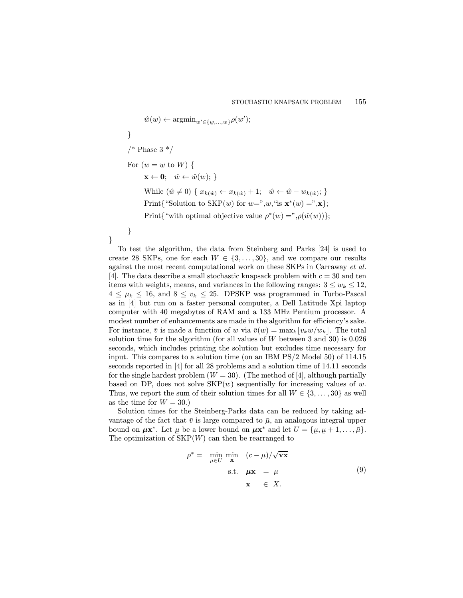$$
\hat{w}(w) \leftarrow \operatorname{argmin}_{w' \in \{w, \ldots, w\}} \rho(w');
$$
\n  
\n}  
\n/\* Phase 3 \*/  
\nFor  $(w = w$  to W) {  
\n $\mathbf{x} \leftarrow \mathbf{0}; \quad \hat{w} \leftarrow \hat{w}(w);$   
\nWhile  $(\hat{w} \neq 0)$  {  $x_{k(\hat{w})} \leftarrow x_{k(\hat{w})} + 1; \quad \hat{w} \leftarrow \hat{w} - w_{k(\hat{w})};$   
\nPrint{``Solution to SKP(w) for  $w =$ ", w, "is  $\mathbf{x}^*(w) =$ ", x};  
\nPrint{"with optimal objective value  $\rho^*(w) =$ ",  $\rho(\hat{w}(w))$ };  
\n}

}

To test the algorithm, the data from Steinberg and Parks [24] is used to create 28 SKPs, one for each  $W \in \{3, \ldots, 30\}$ , and we compare our results against the most recent computational work on these SKPs in Carraway et al. [4]. The data describe a small stochastic knapsack problem with  $c = 30$  and ten items with weights, means, and variances in the following ranges:  $3 \leq w_k \leq 12$ ,  $4 \leq \mu_k \leq 16$ , and  $8 \leq v_k \leq 25$ . DPSKP was programmed in Turbo-Pascal as in [4] but run on a faster personal computer, a Dell Latitude Xpi laptop computer with 40 megabytes of RAM and a 133 MHz Pentium processor. A modest number of enhancements are made in the algorithm for efficiency's sake. For instance,  $\bar{v}$  is made a function of w via  $\bar{v}(w) = \max_k |v_kw/w_k|$ . The total solution time for the algorithm (for all values of  $W$  between 3 and 30) is 0.026 seconds, which includes printing the solution but excludes time necessary for input. This compares to a solution time (on an IBM PS/2 Model 50) of 114.15 seconds reported in [4] for all 28 problems and a solution time of 14.11 seconds for the single hardest problem  $(W = 30)$ . (The method of [4], although partially based on DP, does not solve  $SKP(w)$  sequentially for increasing values of w. Thus, we report the sum of their solution times for all  $W \in \{3, \ldots, 30\}$  as well as the time for  $W = 30.$ 

Solution times for the Steinberg-Parks data can be reduced by taking advantage of the fact that  $\bar{v}$  is large compared to  $\bar{\mu}$ , an analogous integral upper bound on  $\mu \mathbf{x}^*$ . Let  $\mu$  be a lower bound on  $\mu \mathbf{x}^*$  and let  $U = {\mu \n}$ <br>The optimization of SKP(W) can then be rearranged to  $,\mu$  $\underline{\mu}+1,\ldots,\overline{\mu}\}.$ The optimization of  $SKP(W)$  can then be rearranged to

$$
\rho^* = \min_{\mu \in U} \min_{\mathbf{x}} (c - \mu) / \sqrt{\mathbf{v} \mathbf{x}}
$$
  
s.t.  $\mu \mathbf{x} = \mu$   
 $\mathbf{x} \in X.$  (9)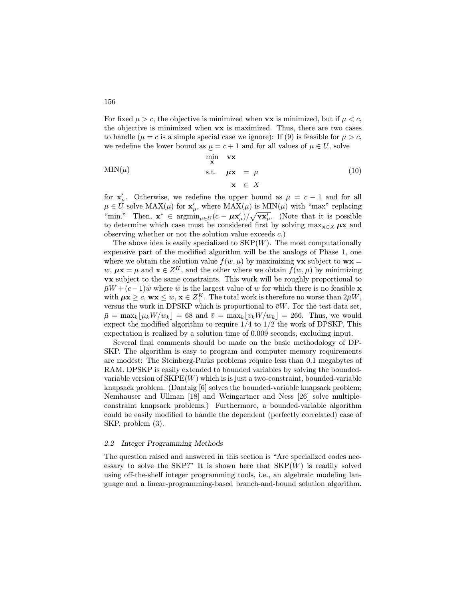For fixed  $\mu > c$ , the objective is minimized when **vx** is minimized, but if  $\mu < c$ , the objective is minimized when vx is maximized. Thus, there are two cases to handle ( $\mu = c$  is a simple special case we ignore): If (9) is feasible for  $\mu > c$ , we redefine the lower bound as  $\underline{\mu} = c + 1$  and for all values of  $\mu \in U$ , solve

$$
\begin{array}{ll}\n\text{MIN}(\mu) & \text{with } \mathbf{v} \mathbf{x} \\
\text{with } \mathbf{v} \mathbf{x} = \mu \\
\text{s.t. } \mu \mathbf{x} = \mu \\
\mathbf{x} \in X\n\end{array} \tag{10}
$$

for  $\mathbf{x}'_{\mu}$ . Otherwise, we redefine the upper bound as  $\bar{\mu} = c - 1$  and for all  $\mu \in U$  solve  $\text{MAX}(\mu)$  for  $\mathbf{x}'_{\mu}$ , where  $\text{MAX}(\mu)$  is  $\text{MIN}(\mu)$  with "max" replacing "min." Then,  $\mathbf{x}^* \in \operatorname{argmin}_{\mu \in U} (c - \mu \mathbf{x}'_{\mu}) / \sqrt{\mathbf{x}'_{\mu}}$ . (Note that it is possible to determine which case must be considered first by solving  $\max_{\mathbf{x} \in X} \mu \mathbf{x}$  and observing whether or not the solution value exceeds c.)

The above idea is easily specialized to  $SKP(W)$ . The most computationally expensive part of the modified algorithm will be the analogs of Phase 1, one where we obtain the solution value  $f(w, \mu)$  by maximizing **vx** subject to **wx** =  $w, \mu \mathbf{x} = \mu$  and  $\mathbf{x} \in Z_+^K$ , and the other where we obtain  $f(w, \mu)$  by minimizing vx subject to the same constraints. This work will be roughly proportional to  $\bar{\mu}W + (c-1)\tilde{w}$  where  $\tilde{w}$  is the largest value of w for which there is no feasible x with  $\mu x \geq c$ ,  $wx \leq w$ ,  $x \in Z_{+}^{K}$ . The total work is therefore no worse than  $2\bar{\mu}W$ , versus the work in DPSKP which is proportional to  $\bar{v}W$ . For the test data set,  $\bar{\mu} = \max_k \lfloor \mu_k W/w_k \rfloor = 68$  and  $\bar{v} = \max_k \lfloor v_k W/w_k \rfloor = 266$ . Thus, we would expect the modified algorithm to require  $1/4$  to  $1/2$  the work of DPSKP. This expectation is realized by a solution time of 0.009 seconds, excluding input.

Several final comments should be made on the basic methodology of DP-SKP. The algorithm is easy to program and computer memory requirements are modest: The Steinberg-Parks problems require less than 0.1 megabytes of RAM. DPSKP is easily extended to bounded variables by solving the boundedvariable version of  $SKPE(W)$  which is is just a two-constraint, bounded-variable knapsack problem. (Dantzig [6] solves the bounded-variable knapsack problem; Nemhauser and Ullman [18] and Weingartner and Ness [26] solve multipleconstraint knapsack problems.) Furthermore, a bounded-variable algorithm could be easily modified to handle the dependent (perfectly correlated) case of SKP, problem (3).

## 2.2 Integer Programming Methods

The question raised and answered in this section is "Are specialized codes necessary to solve the SKP?" It is shown here that  $SKP(W)$  is readily solved using off-the-shelf integer programming tools, i.e., an algebraic modeling language and a linear-programming-based branch-and-bound solution algorithm.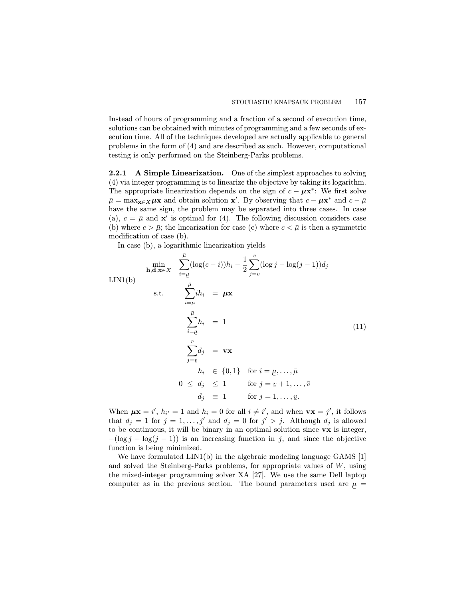Instead of hours of programming and a fraction of a second of execution time, solutions can be obtained with minutes of programming and a few seconds of execution time. All of the techniques developed are actually applicable to general problems in the form of (4) and are described as such. However, computational testing is only performed on the Steinberg-Parks problems.

2.2.1 A Simple Linearization. One of the simplest approaches to solving (4) via integer programming is to linearize the objective by taking its logarithm. The appropriate linearization depends on the sign of  $c - \mu x^*$ : We first solve  $\bar{\mu} = \max_{\mathbf{x} \in X} \mu \mathbf{x}$  and obtain solution  $\mathbf{x}'$ . By observing that  $c - \mu \mathbf{x}^*$  and  $c - \bar{\mu}$ have the same sign, the problem may be separated into three cases. In case (a),  $c = \bar{\mu}$  and  $\mathbf{x}'$  is optimal for (4). The following discussion considers case (b) where  $c > \bar{\mu}$ ; the linearization for case (c) where  $c < \bar{\mu}$  is then a symmetric modification of case (b).

In case (b), a logarithmic linearization yields

$$
\min_{\mathbf{h}, \mathbf{d}, \mathbf{x} \in X} \quad \sum_{i=\underline{\mu}}^{\overline{\mu}} (\log(c-i))h_i - \frac{1}{2} \sum_{j=\underline{v}}^{\overline{v}} (\log j - \log(j-1))d_j
$$
\n
$$
\text{LIN1(b)}
$$
\n
$$
\text{s.t.} \quad \sum_{i=\underline{\mu}}^{\overline{\mu}} ih_i = \mu \mathbf{x}
$$
\n
$$
\sum_{i=\underline{\mu}}^{\overline{\mu}} h_i = 1
$$
\n
$$
\sum_{j=\underline{v}}^{\overline{v}} d_j = \mathbf{v} \mathbf{x}
$$
\n
$$
h_i \in \{0, 1\} \quad \text{for } i = \underline{\mu}, \dots, \overline{\mu}
$$
\n
$$
0 \le d_j \le 1 \quad \text{for } j = \underline{v} + 1, \dots, \overline{v}
$$
\n
$$
d_j \equiv 1 \quad \text{for } j = 1, \dots, \underline{v}.
$$
\n(11)

When  $\mu \mathbf{x} = i'$ ,  $h_{i'} = 1$  and  $h_i = 0$  for all  $i \neq i'$ , and when  $\mathbf{v} \mathbf{x} = j'$ , it follows that  $d_j = 1$  for  $j = 1, \ldots, j'$  and  $d_j = 0$  for  $j' > j$ . Although  $d_j$  is allowed to be continuous, it will be binary in an optimal solution since vx is integer,  $-(\log j - \log(j - 1))$  is an increasing function in j, and since the objective function is being minimized.

We have formulated LIN1(b) in the algebraic modeling language GAMS [1] and solved the Steinberg-Parks problems, for appropriate values of  $W$ , using the mixed-integer programming solver XA [27]. We use the same Dell laptop computer as in the previous section. The bound parameters used are  $\mu$  =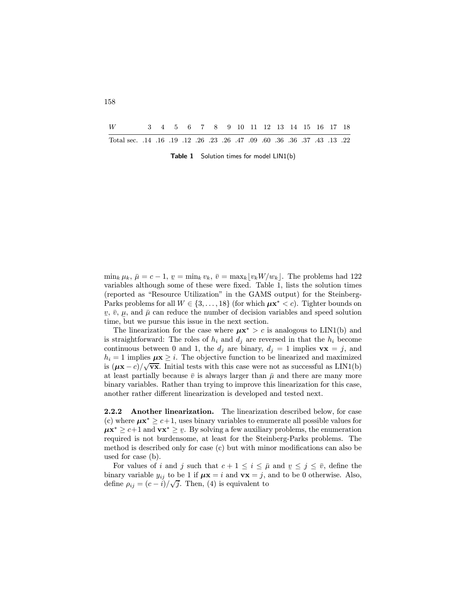| W                                                                       |  |  |  |  |  |  |  | 3 4 5 6 7 8 9 10 11 12 13 14 15 16 17 18 |  |
|-------------------------------------------------------------------------|--|--|--|--|--|--|--|------------------------------------------|--|
| 22. 13. 13. 13. 22. 36. 36. 36. 09. 12. 36. 23. 26. 27. 14. 16. 19. 12. |  |  |  |  |  |  |  |                                          |  |

Table 1 Solution times for model LIN1(b)

 $\min_k \mu_k, \bar{\mu} = c - 1, \underline{v} = \min_k v_k, \bar{v} = \max_k |v_k W / w_k|.$  The problems had 122 variables although some of these were fixed. Table 1, lists the solution times (reported as "Resource Utilization" in the GAMS output) for the Steinberg-Parks problems for all  $W \in \{3, \ldots, 18\}$  (for which  $\mu x^* < c$ ). Tighter bounds on  $\underline{v}, \overline{v}, \mu$ , and  $\overline{\mu}$  can reduce the number of decision variables and speed solution  $\frac{1}{2}$ ,  $\frac{1}{2}$ ,  $\frac{1}{2}$ ,  $\frac{1}{2}$ ,  $\frac{1}{2}$ ,  $\frac{1}{2}$ ,  $\frac{1}{2}$  and  $\frac{1}{2}$  can recall the next section.

The linearization for the case where  $\mu x^* > c$  is analogous to LIN1(b) and is straightforward: The roles of  $h_i$  and  $d_j$  are reversed in that the  $h_i$  become continuous between 0 and 1, the  $d_j$  are binary,  $d_j = 1$  implies  $\mathbf{vx} = j$ , and  $h_i = 1$  implies  $\mu x \geq i$ . The objective function to be linearized and maximized is  $(\mu x - c)/\sqrt{\mathbf{x}}$ . Initial tests with this case were not as successful as LIN1(b) at least partially because  $\bar{v}$  is always larger than  $\bar{\mu}$  and there are many more binary variables. Rather than trying to improve this linearization for this case, another rather different linearization is developed and tested next.

2.2.2 Another linearization. The linearization described below, for case (c) where  $\mu x^* \geq c+1$ , uses binary variables to enumerate all possible values for  $\mu x^* \geq c+1$  and  $vx^* \geq v$ . By solving a few auxiliary problems, the enumeration  $\mu$ <sup>1</sup>  $\mu$ <sup>2</sup>  $\mu$ <sup>2</sup>  $\mu$ <sup>2</sup> and  $\lambda$ <sup>2</sup>  $\mu$ <sup>2</sup>  $\mu$ <sup>2</sup>  $\mu$ <sup>3</sup> solving a fow additional problems, the strainboxing required is not burdensome, at least for the Steinberg-Parks problems. The method is described only for case (c) but with minor modifications can also be used for case (b).

For values of i and j such that  $c + 1 \leq i \leq \bar{\mu}$  and  $\underline{v} \leq j \leq \bar{v}$ , define the binary variable  $y_{ij}$  to be 1 if  $\mu x = i$  and  $vx = j$ , and to be 0 otherwise. Also, define  $\rho_{ij} = (c - i)/\sqrt{j}$ . Then, (4) is equivalent to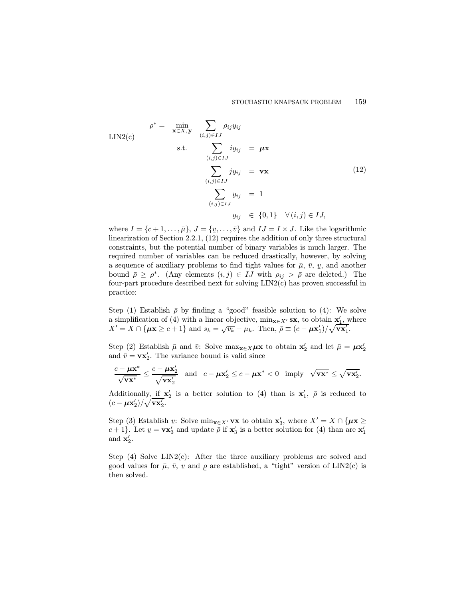$$
\rho^* = \min_{\mathbf{x} \in X, \mathbf{y}} \sum_{(i,j) \in IJ} \rho_{ij} y_{ij}
$$
  
 
$$
\text{s.t.} \sum_{(i,j) \in IJ} i y_{ij} = \mu \mathbf{x}
$$
  
 
$$
\sum_{(i,j) \in IJ} j y_{ij} = \mathbf{v} \mathbf{x}
$$
  
 
$$
\sum_{(i,j) \in IJ} y_{ij} = 1
$$
  
 
$$
y_{ij} \in \{0, 1\} \quad \forall (i,j) \in IJ,
$$
 (12)

where  $I = \{c+1, \ldots, \bar{\mu}\}, J = \{v, \ldots, \bar{v}\}$  and  $IJ = I \times J$ . Like the logarithmic  $\lim_{\epsilon \to 0} \frac{\Gamma(1+\epsilon, \ldots, \mu)}{\epsilon}$ ,  $\lim_{\epsilon \to 0} \frac{\Gamma(1+\epsilon, \ldots, \mu)}{\epsilon}$  and  $\lim_{\epsilon \to 0} \frac{\Gamma(1+\epsilon, \ldots, \mu)}{\epsilon}$  is the addition of only three structural constraints, but the potential number of binary variables is much larger. The required number of variables can be reduced drastically, however, by solving a sequence of auxiliary problems to find tight values for  $\bar{\mu}$ ,  $\bar{v}$ ,  $\bar{v}$ , and another bound  $\bar{\rho} \geq \rho^*$ . (Any elements  $(i, j) \in IJ$  with  $\rho_{ij} > \bar{\rho}$  are deleted.) The four-part procedure described next for solving LIN2(c) has proven successful in practice:

Step (1) Establish  $\bar{\rho}$  by finding a "good" feasible solution to (4): We solve a simplification of (4) with a linear objective,  $\min_{\mathbf{x} \in X'} \mathbf{s} \mathbf{x}$ , to obtain  $\mathbf{x}'_1$ , where  $X' = X \cap {\mu \mathbf{x} \ge c+1}$  and  $s_k = \sqrt{v_k} - \mu_k$ . Then,  $\bar{\rho} \equiv (c - \mu \mathbf{x}'_1)/\sqrt{\mathbf{v} \mathbf{x}'_1}$ .

Step (2) Establish  $\bar{\mu}$  and  $\bar{v}$ : Solve max<sub>x∈X</sub> $\mu$ x to obtain x<sub>2</sub> and let  $\bar{\mu} = \mu x_2$ and  $\bar{v} = \mathbf{vx}'_2$ . The variance bound is valid since

$$
\frac{c - \mu \mathbf{x}^*}{\sqrt{\mathbf{v}\mathbf{x}^*}} \le \frac{c - \mu \mathbf{x}_2'}{\sqrt{\mathbf{v}\mathbf{x}_2'}} \quad \text{and} \quad c - \mu \mathbf{x}_2' \le c - \mu \mathbf{x}^* < 0 \quad \text{imply} \quad \sqrt{\mathbf{v}\mathbf{x}^*} \le \sqrt{\mathbf{v}\mathbf{x}_2'}.
$$

Additionally, if  $\mathbf{x}'_2$  is a better solution to (4) than is  $\mathbf{x}'_1$ ,  $\bar{\rho}$  is reduced to  $(c - \mu x_2') / \sqrt{vx_2'}.$ 

Step (3) Establish v: Solve min<sub>x∈X'</sub> vx to obtain  $x'_3$ , where  $X' = X \cap {\mu x \ge \mu}$  $c+1$ . Let  $v = \mathbf{vx}_3'$  and update  $\bar{\rho}$  if  $\mathbf{x}_3'$  is a better solution for (4) than are  $\mathbf{x}_1'$ and  $\mathbf{x}'_2$ .

Step  $(4)$  Solve LIN2 $(c)$ : After the three auxiliary problems are solved and good values for  $\bar{\mu}$ ,  $\bar{v}$ ,  $\bar{v}$  and  $\rho$  are established, a "tight" version of LIN2(c) is<br>then solved then solved.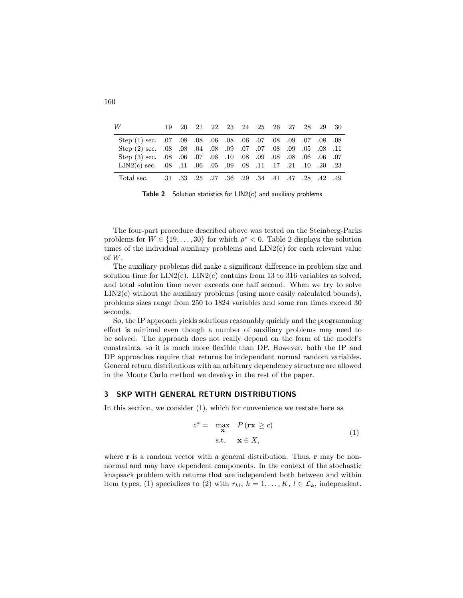| W                                                                     |  |  |  |  |  | 19 20 21 22 23 24 25 26 27 28 29 30 |  |
|-----------------------------------------------------------------------|--|--|--|--|--|-------------------------------------|--|
| 80. 80. 70. 70. 90. 80. 70. 60. 80. 60. 80. 60. 107. 80. 50. 108. 81. |  |  |  |  |  |                                     |  |
| 11. 08. 09. 09. 09. 09. 09. 09. 09. 09. 09. 08. 09. 08. 09. 08. 09.   |  |  |  |  |  |                                     |  |
| Of .08 .08 .08 .08 .08 .08 .08 .09 .08 .08 .09 .06 .07                |  |  |  |  |  |                                     |  |
| 23. 20. 10. 10. 21. 17. 17. 17. 10 0. 10 0. 11 0. 10 0. 11. 10 0. 11  |  |  |  |  |  |                                     |  |
| 49. 42. 28. 29. 47. 41. 47. 28. 29. 36. 27. 25. 27. 36. 29.           |  |  |  |  |  |                                     |  |

Table 2 Solution statistics for LIN2(c) and auxiliary problems.

The four-part procedure described above was tested on the Steinberg-Parks problems for  $W \in \{19, \ldots, 30\}$  for which  $\rho^* < 0$ . Table 2 displays the solution times of the individual auxiliary problems and LIN2(c) for each relevant value of W.

The auxiliary problems did make a significant difference in problem size and solution time for  $LIN2(c)$ .  $LIN2(c)$  contains from 13 to 316 variables as solved, and total solution time never exceeds one half second. When we try to solve LIN2(c) without the auxiliary problems (using more easily calculated bounds), problems sizes range from 250 to 1824 variables and some run times exceed 30 seconds.

So, the IP approach yields solutions reasonably quickly and the programming effort is minimal even though a number of auxiliary problems may need to be solved. The approach does not really depend on the form of the model's constraints, so it is much more flexible than DP. However, both the IP and DP approaches require that returns be independent normal random variables. General return distributions with an arbitrary dependency structure are allowed in the Monte Carlo method we develop in the rest of the paper.

## 3 SKP WITH GENERAL RETURN DISTRIBUTIONS

In this section, we consider (1), which for convenience we restate here as

$$
z^* = \max_{\mathbf{x}} P(\mathbf{rx} \ge c)
$$
  
s.t.  $\mathbf{x} \in X$ , (1)

where  $r$  is a random vector with a general distribution. Thus,  $r$  may be nonnormal and may have dependent components. In the context of the stochastic knapsack problem with returns that are independent both between and within item types, (1) specializes to (2) with  $r_{kl}$ ,  $k = 1, \ldots, K$ ,  $l \in \mathcal{L}_k$ , independent.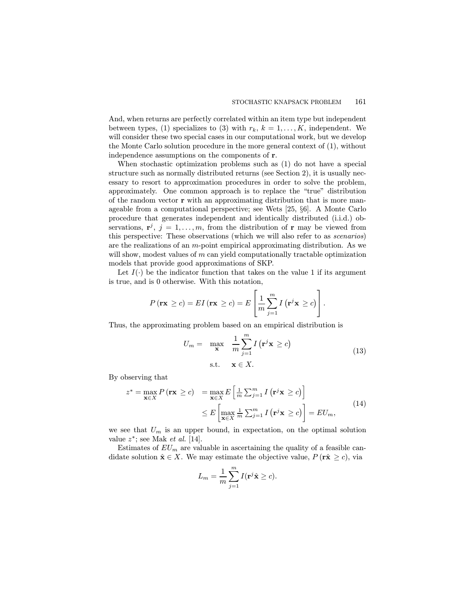And, when returns are perfectly correlated within an item type but independent between types, (1) specializes to (3) with  $r_k$ ,  $k = 1, \ldots, K$ , independent. We will consider these two special cases in our computational work, but we develop the Monte Carlo solution procedure in the more general context of (1), without independence assumptions on the components of r.

When stochastic optimization problems such as (1) do not have a special structure such as normally distributed returns (see Section 2), it is usually necessary to resort to approximation procedures in order to solve the problem, approximately. One common approach is to replace the "true" distribution of the random vector r with an approximating distribution that is more manageable from a computational perspective; see Wets [25, §6]. A Monte Carlo procedure that generates independent and identically distributed (i.i.d.) observations,  $\mathbf{r}^{j}$ ,  $j = 1, \ldots, m$ , from the distribution of r may be viewed from this perspective: These observations (which we will also refer to as scenarios) are the realizations of an m-point empirical approximating distribution. As we will show, modest values of  $m$  can yield computationally tractable optimization models that provide good approximations of SKP.

Let  $I(\cdot)$  be the indicator function that takes on the value 1 if its argument is true, and is 0 otherwise. With this notation,

$$
P(\mathbf{rx} \ge c) = EI(\mathbf{rx} \ge c) = E\left[\frac{1}{m}\sum_{j=1}^{m} I(\mathbf{r}^j \mathbf{x} \ge c)\right].
$$

Thus, the approximating problem based on an empirical distribution is

$$
U_m = \max_{\mathbf{x}} \frac{1}{m} \sum_{j=1}^{m} I(\mathbf{r}^j \mathbf{x} \ge c)
$$
  
s.t.  $\mathbf{x} \in X$ . (13)

By observing that

$$
z^* = \max_{\mathbf{x} \in X} P(\mathbf{rx} \ge c) = \max_{\mathbf{x} \in X} E\left[\frac{1}{m} \sum_{j=1}^m I(\mathbf{r}^j \mathbf{x} \ge c)\right]
$$
  

$$
\le E\left[\max_{\mathbf{x} \in X} \frac{1}{m} \sum_{j=1}^m I(\mathbf{r}^j \mathbf{x} \ge c)\right] = EU_m,
$$
 (14)

we see that  $U_m$  is an upper bound, in expectation, on the optimal solution value  $z^*$ ; see Mak et al. [14].

Estimates of  $EU_m$  are valuable in ascertaining the quality of a feasible candidate solution  $\hat{\mathbf{x}} \in X$ . We may estimate the objective value,  $P(\hat{\mathbf{r}} \geq c)$ , via

$$
L_m = \frac{1}{m} \sum_{j=1}^{m} I(\mathbf{r}^j \hat{\mathbf{x}} \ge c).
$$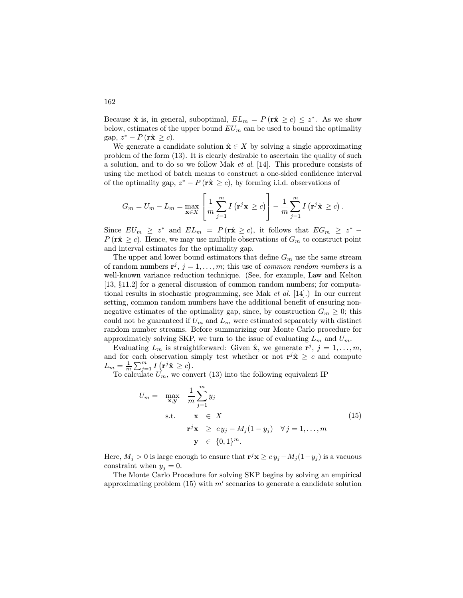Because  $\hat{x}$  is, in general, suboptimal,  $EL_m = P(r\hat{x} \ge c) \le z^*$ . As we show below, estimates of the upper bound  $EU_m$  can be used to bound the optimality gap,  $z^* - P(r\hat{\mathbf{x}} \geq c)$ .

We generate a candidate solution  $\hat{\mathbf{x}} \in X$  by solving a single approximating problem of the form (13). It is clearly desirable to ascertain the quality of such a solution, and to do so we follow Mak et al. [14]. This procedure consists of using the method of batch means to construct a one-sided confidence interval of the optimality gap,  $z^* - P(r\hat{x} \geq c)$ , by forming i.i.d. observations of

$$
G_m = U_m - L_m = \max_{\mathbf{x} \in X} \left[ \frac{1}{m} \sum_{j=1}^m I\left(\mathbf{r}^j \mathbf{x} \ge c\right) \right] - \frac{1}{m} \sum_{j=1}^m I\left(\mathbf{r}^j \hat{\mathbf{x}} \ge c\right).
$$

Since  $EU_m \geq z^*$  and  $EL_m = P(\hat{rx} \geq c)$ , it follows that  $EG_m \geq z^*$  $P(\mathbf{r}\hat{\mathbf{x}} \geq c)$ . Hence, we may use multiple observations of  $G_m$  to construct point and interval estimates for the optimality gap.

The upper and lower bound estimators that define  $G_m$  use the same stream of random numbers  $\mathbf{r}^j$ ,  $j = 1, \ldots, m$ ; this use of *common random numbers* is a well-known variance reduction technique. (See, for example, Law and Kelton [13, §11.2] for a general discussion of common random numbers; for computational results in stochastic programming, see Mak et al. [14].) In our current setting, common random numbers have the additional benefit of ensuring nonnegative estimates of the optimality gap, since, by construction  $G_m \geq 0$ ; this could not be guaranteed if  $U_m$  and  $L_m$  were estimated separately with distinct random number streams. Before summarizing our Monte Carlo procedure for approximately solving SKP, we turn to the issue of evaluating  $L_m$  and  $U_m$ .

Evaluating  $L_m$  is straightforward: Given  $\hat{\mathbf{x}}$ , we generate  $\mathbf{r}^j$ ,  $j = 1, \ldots, m$ , and for each observation simply test whether or not  $\mathbf{r}^j \hat{\mathbf{x}} \geq c$  and compute  $L_m = \frac{1}{m} \sum_{j=1}^m I(\mathbf{r}^j \hat{\mathbf{x}} \geq c).$ 

To calculate  $U_m$ , we convert (13) into the following equivalent IP

$$
U_m = \max_{\mathbf{x}, \mathbf{y}} \frac{1}{m} \sum_{j=1}^m y_j
$$
  
s.t.  $\mathbf{x} \in X$   
 $\mathbf{r}^j \mathbf{x} \ge c y_j - M_j (1 - y_j) \quad \forall j = 1, ..., m$   
 $\mathbf{y} \in \{0, 1\}^m.$  (15)

Here,  $M_j > 0$  is large enough to ensure that  $\mathbf{r}^j \mathbf{x} \ge c y_j - M_j (1-y_j)$  is a vacuous constraint when  $y_i = 0$ .

The Monte Carlo Procedure for solving SKP begins by solving an empirical approximating problem  $(15)$  with m' scenarios to generate a candidate solution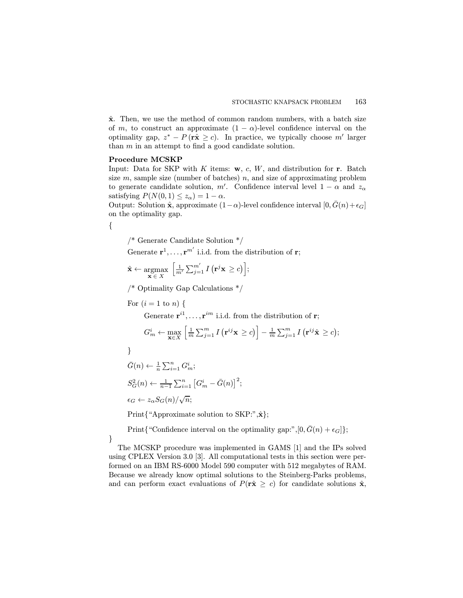$\hat{\mathbf{x}}$ . Then, we use the method of common random numbers, with a batch size of m, to construct an approximate  $(1 - \alpha)$ -level confidence interval on the optimality gap,  $z^* - P(r\hat{x} \geq c)$ . In practice, we typically choose m' larger than  $m$  in an attempt to find a good candidate solution.

## Procedure MCSKP

Input: Data for SKP with K items:  $w, c, W$ , and distribution for r. Batch size  $m$ , sample size (number of batches)  $n$ , and size of approximating problem to generate candidate solution, m'. Confidence interval level  $1 - \alpha$  and  $z_{\alpha}$ satisfying  $P(N(0, 1) \leq z_\alpha) = 1 - \alpha$ .

Output: Solution  $\hat{\mathbf{x}}$ , approximate  $(1-\alpha)$ -level confidence interval  $[0, \bar{G}(n)+\epsilon_G]$ on the optimality gap.

{

/\* Generate Candidate Solution \*/

Generate  $\mathbf{r}^1, \ldots, \mathbf{r}^{m'}$  i.i.d. from the distribution of  $\mathbf{r}$ ;

$$
\hat{\mathbf{x}} \leftarrow \operatorname*{argmax}_{\mathbf{x} \in X} \left[ \frac{1}{m'} \sum_{j=1}^{m'} I\left(\mathbf{r}^j \mathbf{x} \ge c\right) \right];
$$

/\* Optimality Gap Calculations \*/

For  $(i = 1$  to n) {

Generate  $\mathbf{r}^{i1}, \ldots, \mathbf{r}^{im}$  i.i.d. from the distribution of **r**;

$$
G_m^i \leftarrow \max_{\mathbf{x} \in X} \left[ \frac{1}{m} \sum_{j=1}^m I\left(\mathbf{r}^{ij} \mathbf{x} \ge c\right) \right] - \frac{1}{m} \sum_{j=1}^m I\left(\mathbf{r}^{ij} \hat{\mathbf{x}} \ge c\right);
$$

}

}

$$
\bar{G}(n) \leftarrow \frac{1}{n} \sum_{i=1}^{n} G_m^i;
$$
\n
$$
S_G^2(n) \leftarrow \frac{1}{n-1} \sum_{i=1}^{n} \left[ G_m^i - \bar{G}(n) \right]^2;
$$
\n
$$
\epsilon_G \leftarrow z_\alpha S_G(n) / \sqrt{n};
$$

Print{"Approximate solution to SKP:", $\hat{\mathbf{x}}$ };

Print{"Confidence interval on the optimality gap:", $[0, \bar{G}(n) + \epsilon_G]$ ;

The MCSKP procedure was implemented in GAMS [1] and the IPs solved using CPLEX Version 3.0 [3]. All computational tests in this section were performed on an IBM RS-6000 Model 590 computer with 512 megabytes of RAM. Because we already know optimal solutions to the Steinberg-Parks problems, and can perform exact evaluations of  $P(\hat{\mathbf{r}} \geq c)$  for candidate solutions  $\hat{\mathbf{x}}$ ,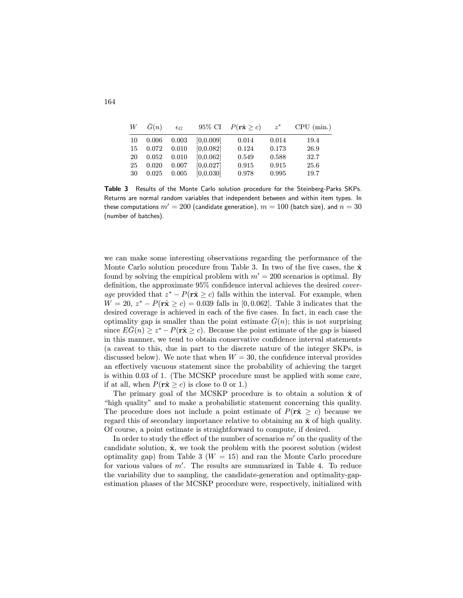| W  | $\bar{G}(n)$ | $\epsilon_G$ |            | 95\% CI $P(\mathbf{r}\hat{\mathbf{x}} \geq c)$ | $z^*$ | CPU (min.) |
|----|--------------|--------------|------------|------------------------------------------------|-------|------------|
| 10 | 0.006        | 0.003        | [0.0.009]  | 0.014                                          | 0.014 | 19.4       |
| 15 | 0.072        | 0.010        | [0, 0.082] | 0.124                                          | 0.173 | 26.9       |
| 20 | 0.052        | 0.010        | [0.0.062]  | 0.549                                          | 0.588 | 32.7       |
| 25 | 0.020        | 0.007        | [0.0.027]  | 0.915                                          | 0.915 | 25.6       |
| 30 | 0.025        | 0.005        | [0, 0.030] | 0.978                                          | 0.995 | 19.7       |
|    |              |              |            |                                                |       |            |

Table 3 Results of the Monte Carlo solution procedure for the Steinberg-Parks SKPs. Returns are normal random variables that independent between and within item types. In these computations  $m' = 200$  (candidate generation),  $m = 100$  (batch size), and  $n = 30$ (number of batches).

we can make some interesting observations regarding the performance of the Monte Carlo solution procedure from Table 3. In two of the five cases, the  $\hat{\mathbf{x}}$ found by solving the empirical problem with  $m' = 200$  scenarios is optimal. By definition, the approximate 95% confidence interval achieves the desired coverage provided that  $z^* - P(r\hat{x} \geq c)$  falls within the interval. For example, when  $W = 20$ ,  $z^* - P(r\hat{x} \ge c) = 0.039$  falls in [0, 0.062]. Table 3 indicates that the desired coverage is achieved in each of the five cases. In fact, in each case the optimality gap is smaller than the point estimate  $\tilde{G}(n)$ ; this is not surprising since  $EG(n) \geq z^* - P(\mathbf{r\hat{x}} \geq c)$ . Because the point estimate of the gap is biased in this manner, we tend to obtain conservative confidence interval statements (a caveat to this, due in part to the discrete nature of the integer SKPs, is discussed below). We note that when  $W = 30$ , the confidence interval provides an effectively vacuous statement since the probability of achieving the target is within 0.03 of 1. (The MCSKP procedure must be applied with some care, if at all, when  $P(\mathbf{r}\hat{\mathbf{x}} > c)$  is close to 0 or 1.)

The primary goal of the MCSKP procedure is to obtain a solution  $\hat{x}$  of "high quality" and to make a probabilistic statement concerning this quality. The procedure does not include a point estimate of  $P(r\hat{x} \geq c)$  because we regard this of secondary importance relative to obtaining an  $\hat{\mathbf{x}}$  of high quality. Of course, a point estimate is straightforward to compute, if desired.

In order to study the effect of the number of scenarios  $m'$  on the quality of the candidate solution,  $\hat{\mathbf{x}}$ , we took the problem with the poorest solution (widest optimality gap) from Table 3 ( $W = 15$ ) and ran the Monte Carlo procedure for various values of  $m'$ . The results are summarized in Table 4. To reduce the variability due to sampling, the candidate-generation and optimality-gapestimation phases of the MCSKP procedure were, respectively, initialized with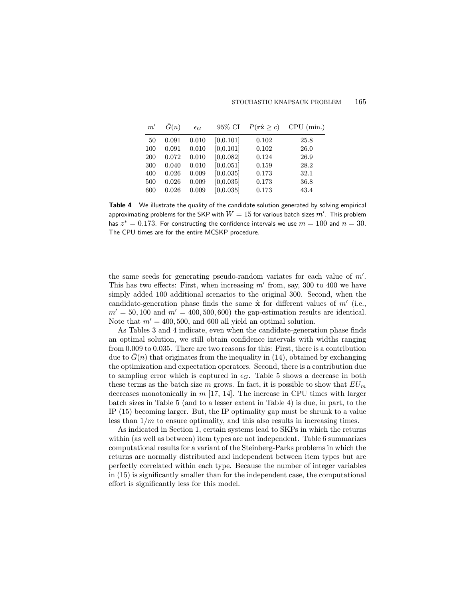| m'         | $\bar{G}(n)$   | $\epsilon_G$   | 95% CI                   | $P(\mathbf{r}\hat{\mathbf{x}} \geq c)$ | CPU (min.)   |
|------------|----------------|----------------|--------------------------|----------------------------------------|--------------|
| 50         | 0.091          | 0.010          | [0, 0.101]               | 0.102                                  | 25.8         |
| 100<br>200 | 0.091<br>0.072 | 0.010<br>0.010 | [0, 0.101]<br>[0, 0.082] | 0.102<br>0.124                         | 26.0<br>26.9 |
| 300        | 0.040          | 0.010          | [0, 0.051]               | 0.159                                  | 28.2         |
| 400<br>500 | 0.026<br>0.026 | 0.009<br>0.009 | [0, 0.035]<br>[0, 0.035] | 0.173<br>0.173                         | 32.1<br>36.8 |
| 600        | 0.026          | 0.009          | [0, 0.035]               | 0.173                                  | 43.4         |

Table 4 We illustrate the quality of the candidate solution generated by solving empirical approximating problems for the SKP with  $W=15$  for various batch sizes  $m^{\prime}.$  This problem has  $z^* = 0.173$ . For constructing the confidence intervals we use  $m = 100$  and  $n = 30$ . The CPU times are for the entire MCSKP procedure.

the same seeds for generating pseudo-random variates for each value of  $m'$ . This has two effects: First, when increasing  $m'$  from, say, 300 to 400 we have simply added 100 additional scenarios to the original 300. Second, when the candidate-generation phase finds the same  $\hat{\mathbf{x}}$  for different values of m' (i.e.,  $m' = 50,100$  and  $m' = 400,500,600$  the gap-estimation results are identical. Note that  $m' = 400, 500,$  and 600 all yield an optimal solution.

As Tables 3 and 4 indicate, even when the candidate-generation phase finds an optimal solution, we still obtain confidence intervals with widths ranging from 0.009 to 0.035. There are two reasons for this: First, there is a contribution due to  $G(n)$  that originates from the inequality in (14), obtained by exchanging the optimization and expectation operators. Second, there is a contribution due to sampling error which is captured in  $\epsilon_G$ . Table 5 shows a decrease in both these terms as the batch size m grows. In fact, it is possible to show that  $EU_m$ decreases monotonically in  $m$  [17, 14]. The increase in CPU times with larger batch sizes in Table 5 (and to a lesser extent in Table 4) is due, in part, to the IP (15) becoming larger. But, the IP optimality gap must be shrunk to a value less than  $1/m$  to ensure optimality, and this also results in increasing times.

As indicated in Section 1, certain systems lead to SKPs in which the returns within (as well as between) item types are not independent. Table 6 summarizes computational results for a variant of the Steinberg-Parks problems in which the returns are normally distributed and independent between item types but are perfectly correlated within each type. Because the number of integer variables in (15) is significantly smaller than for the independent case, the computational effort is significantly less for this model.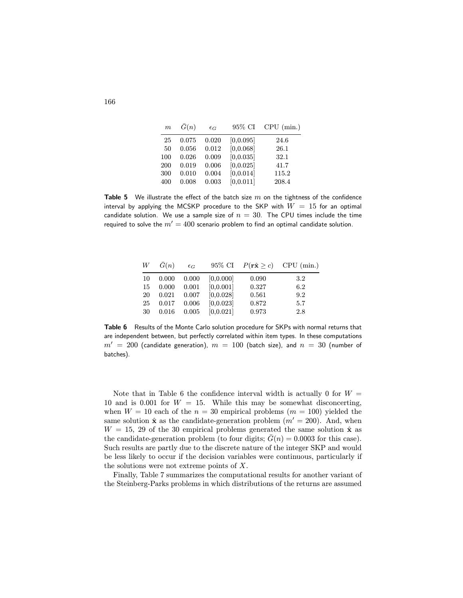| $\boldsymbol{m}$ | $\bar{G}(n)$ | $\epsilon_G$ | 95% CI     | CPU (min.) |
|------------------|--------------|--------------|------------|------------|
| 25               | 0.075        | 0.020        | [0, 0.095] | 24.6       |
| 50               | 0.056        | 0.012        | [0, 0.068] | 26.1       |
| 100              | 0.026        | 0.009        | [0, 0.035] | 32.1       |
| 200              | 0.019        | 0.006        | [0, 0.025] | 41.7       |
| 300              | 0.010        | 0.004        | [0, 0.014] | 115.2      |
| 400              | 0.008        | 0.003        | [0, 0.011] | 208.4      |
|                  |              |              |            |            |

**Table 5** We illustrate the effect of the batch size  $m$  on the tightness of the confidence interval by applying the MCSKP procedure to the SKP with  $W = 15$  for an optimal candidate solution. We use a sample size of  $n = 30$ . The CPU times include the time required to solve the  $m' = 400$  scenario problem to find an optimal candidate solution.

| W  | G(n)  | $\epsilon_G$ |            |       | 95\% CI $P(\mathbf{r}\hat{\mathbf{x}} \geq c)$ CPU (min.) |
|----|-------|--------------|------------|-------|-----------------------------------------------------------|
| 10 | 0.000 | 0.000        | [0.0.000]  | 0.090 | 3.2                                                       |
| 15 | 0.000 | 0.001        | [0, 0.001] | 0.327 | 6.2                                                       |
| 20 | 0.021 | 0.007        | [0, 0.028] | 0.561 | 9.2                                                       |
| 25 | 0.017 | 0.006        | [0, 0.023] | 0.872 | 5.7                                                       |
| 30 | 0.016 | 0.005        | [0, 0.021] | 0.973 | 2.8                                                       |

Table 6 Results of the Monte Carlo solution procedure for SKPs with normal returns that are independent between, but perfectly correlated within item types. In these computations  $m' = 200$  (candidate generation),  $m = 100$  (batch size), and  $n = 30$  (number of batches).

Note that in Table 6 the confidence interval width is actually 0 for  $W =$ 10 and is 0.001 for  $W = 15$ . While this may be somewhat disconcerting, when  $W = 10$  each of the  $n = 30$  empirical problems  $(m = 100)$  yielded the same solution  $\hat{\mathbf{x}}$  as the candidate-generation problem  $(m' = 200)$ . And, when  $W = 15, 29$  of the 30 empirical problems generated the same solution  $\hat{\mathbf{x}}$  as the candidate-generation problem (to four digits;  $\bar{G}(n)=0.0003$  for this case). Such results are partly due to the discrete nature of the integer SKP and would be less likely to occur if the decision variables were continuous, particularly if the solutions were not extreme points of  $X$ .

Finally, Table 7 summarizes the computational results for another variant of the Steinberg-Parks problems in which distributions of the returns are assumed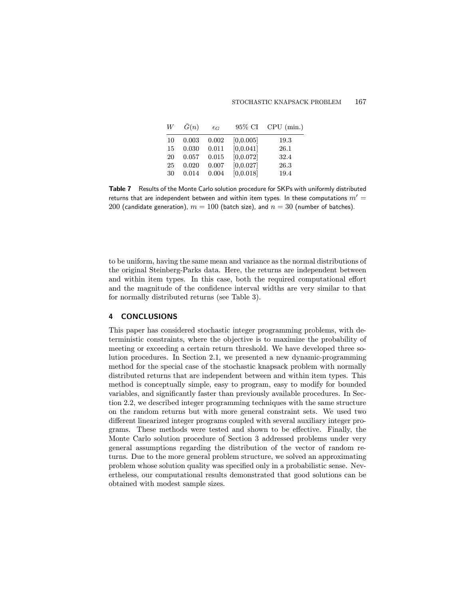Table 7 Results of the Monte Carlo solution procedure for SKPs with uniformly distributed returns that are independent between and within item types. In these computations  $m' =$ 200 (candidate generation),  $m = 100$  (batch size), and  $n = 30$  (number of batches).

to be uniform, having the same mean and variance as the normal distributions of the original Steinberg-Parks data. Here, the returns are independent between and within item types. In this case, both the required computational effort and the magnitude of the confidence interval widths are very similar to that for normally distributed returns (see Table 3).

## 4 CONCLUSIONS

This paper has considered stochastic integer programming problems, with deterministic constraints, where the objective is to maximize the probability of meeting or exceeding a certain return threshold. We have developed three solution procedures. In Section 2.1, we presented a new dynamic-programming method for the special case of the stochastic knapsack problem with normally distributed returns that are independent between and within item types. This method is conceptually simple, easy to program, easy to modify for bounded variables, and significantly faster than previously available procedures. In Section 2.2, we described integer programming techniques with the same structure on the random returns but with more general constraint sets. We used two different linearized integer programs coupled with several auxiliary integer programs. These methods were tested and shown to be effective. Finally, the Monte Carlo solution procedure of Section 3 addressed problems under very general assumptions regarding the distribution of the vector of random returns. Due to the more general problem structure, we solved an approximating problem whose solution quality was specified only in a probabilistic sense. Nevertheless, our computational results demonstrated that good solutions can be obtained with modest sample sizes.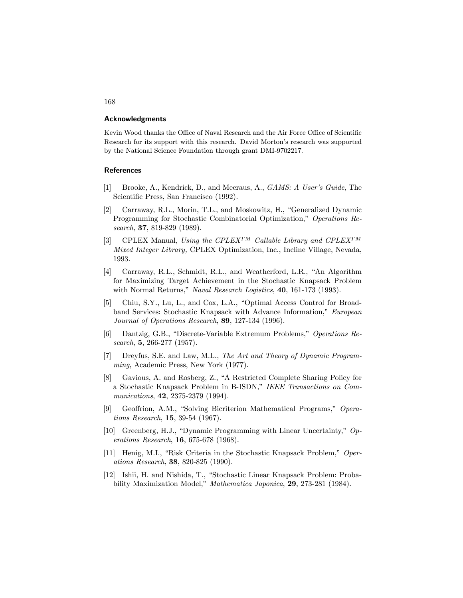#### Acknowledgments

Kevin Wood thanks the Office of Naval Research and the Air Force Office of Scientific Research for its support with this research. David Morton's research was supported by the National Science Foundation through grant DMI-9702217.

## **References**

- [1] Brooke, A., Kendrick, D., and Meeraus, A., GAMS: A User's Guide, The Scientific Press, San Francisco (1992).
- [2] Carraway, R.L., Morin, T.L., and Moskowitz, H., "Generalized Dynamic Programming for Stochastic Combinatorial Optimization," Operations Research, 37, 819-829 (1989).
- [3] CPLEX Manual, Using the CPLEX<sup>TM</sup> Callable Library and CPLEX<sup>TM</sup> Mixed Integer Library, CPLEX Optimization, Inc., Incline Village, Nevada, 1993.
- [4] Carraway, R.L., Schmidt, R.L., and Weatherford, L.R., "An Algorithm for Maximizing Target Achievement in the Stochastic Knapsack Problem with Normal Returns," Naval Research Logistics, 40, 161-173 (1993).
- [5] Chiu, S.Y., Lu, L., and Cox, L.A., "Optimal Access Control for Broadband Services: Stochastic Knapsack with Advance Information," European Journal of Operations Research, 89, 127-134 (1996).
- [6] Dantzig, G.B., "Discrete-Variable Extremum Problems," Operations Research, 5, 266-277 (1957).
- [7] Dreyfus, S.E. and Law, M.L., The Art and Theory of Dynamic Programming, Academic Press, New York (1977).
- [8] Gavious, A. and Rosberg, Z., "A Restricted Complete Sharing Policy for a Stochastic Knapsack Problem in B-ISDN," IEEE Transactions on Communications, 42, 2375-2379 (1994).
- [9] Geoffrion, A.M., "Solving Bicriterion Mathematical Programs," Operations Research, 15, 39-54 (1967).
- [10] Greenberg, H.J., "Dynamic Programming with Linear Uncertainty," Operations Research, 16, 675-678 (1968).
- [11] Henig, M.I., "Risk Criteria in the Stochastic Knapsack Problem," Operations Research, 38, 820-825 (1990).
- [12] Ishii, H. and Nishida, T., "Stochastic Linear Knapsack Problem: Probability Maximization Model," Mathematica Japonica, 29, 273-281 (1984).